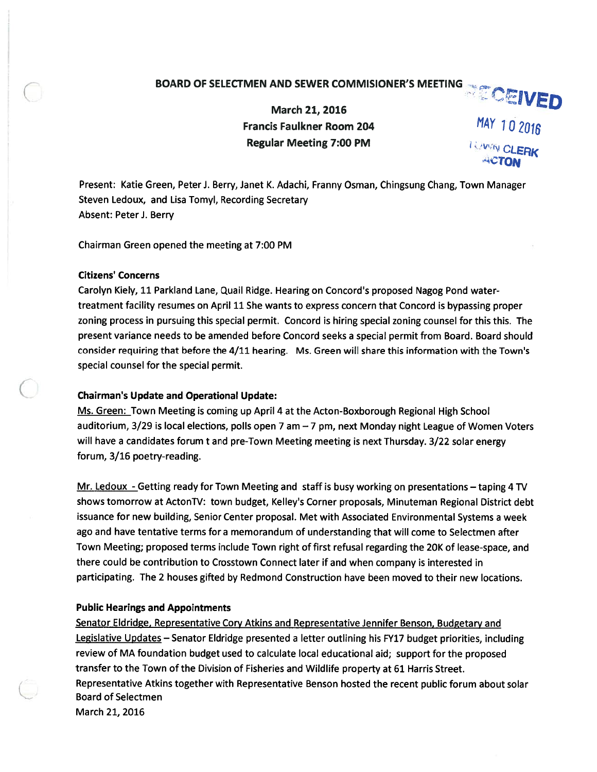# BOARD OF SELECTMEN AND SEWER COMMISIONER'S MEETING **COLUMED**

March 21, 2016 Francis Faulkner Room 204  $\overline{MAY}$  10 2016

Regular Meeting 7:00 PM CLERK

Present: Katie Green, Peter J. Berry, Janet K. Adachi, Franny Osman, Chingsung Chang, Town Manager Steven Ledoux, and Lisa Tomyl, Recording Secretary Absent: Peter J. Berry

Chairman Green opened the meeting at 7:00 PM

## Citizens' Concerns

Carolyn Kiely, 11 Parkland Lane, Quail Ridge. Hearing on Concord's proposed Nagog Pond watertreatment facility resumes on April 11 She wants to express concern that Concord is bypassing proper zoning process in pursuing this special permit. Concord is hiring special zoning counsel for this this. The presen<sup>t</sup> variance needs to be amended before Concord seeks <sup>a</sup> special permit from Board. Board should consider requiring that before the 4/11 hearing. Ms. Green will share this information with the Town's special counsel for the special permit.

# Chairman's Update and Operational Update:

Ms. Green: Town Meeting is coming up April 4 at the Acton-Boxborough Regional High School auditorium,  $3/29$  is local elections, polls open 7 am  $-7$  pm, next Monday night League of Women Voters will have <sup>a</sup> candidates forum <sup>t</sup> and pre-Town Meeting meeting is next Thursday. 3/22 solar energy forum, 3/16 poetry-reading.

Mr. Ledoux -Getting ready for Town Meeting and staff is busy working on presentations - taping 4 TV shows tomorrow at ActonTV: town budget, Kelley's Corner proposals, Minuteman Regional District debt issuance for new building, Senior Center proposal. Met with Associated Environmental Systems <sup>a</sup> week ago and have tentative terms for <sup>a</sup> memorandum of understanding that will come to Selectmen after Town Meeting; proposed terms include Town right of first refusal regarding the 20K of lease-space, and there could be contribution to Crosstown Connect later if and when company is interested in participating. The 2 houses gifted by Redmond Construction have been moved to their new locations.

# Public Hearings and Appointments

Senator Eldridge, Representative Cory Atkins and Representative Jennifer Benson, Budgetary and Legislative Updates - Senator Eldridge presented a letter outlining his FY17 budget priorities, including review of MA foundation budget used to calculate local educational aid; suppor<sup>t</sup> for the proposed transfer to the Town of the Division of Fisheries and Wildlife property at 61 Harris Street. Representative Atkins together with Representative Benson hosted the recent public forum about solar Board of Selectmen March 21, 2016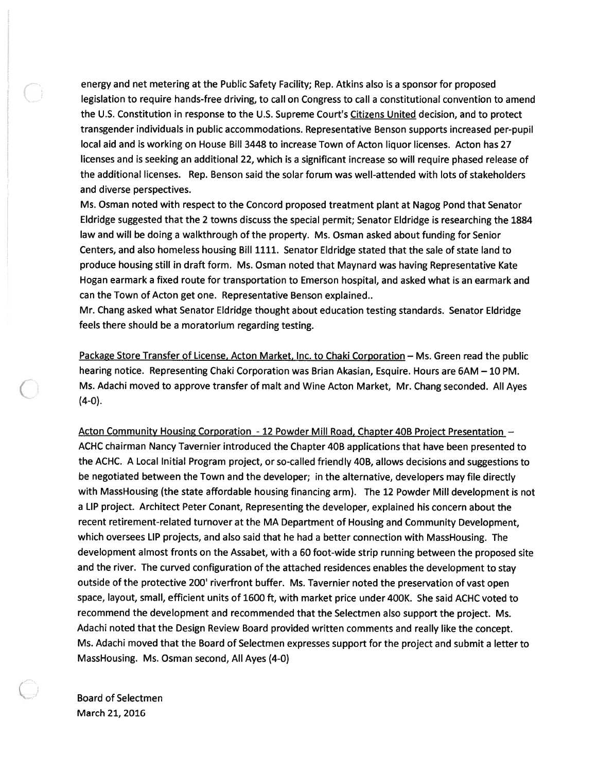energy and net metering at the Public Safety Facility; Rep. Atkins also is <sup>a</sup> sponsor for proposed legislation to require hands-free driving, to call on Congress to call <sup>a</sup> constitutional convention to amend the U.S. Constitution in response to the U.S. Supreme Court's Citizens United decision, and to protect transgender individuals in public accommodations. Representative Benson supports increased per-pupil local aid and is working on House Bill 3448 to increase Town of Acton liquor licenses. Acton has 27 licenses and is seeking an additional 22, which is <sup>a</sup> significant increase so will require phased release of the additional licenses. Rep. Benson said the solar forum was well-attended with lots of stakeholders and diverse perspectives.

Ms. Osman noted with respec<sup>t</sup> to the Concord proposed treatment plant at Nagog Pond that Senator Eldridge suggested that the 2 towns discuss the special permit; Senator Eldridge is researching the 1884 law and will be doing <sup>a</sup> walkthrough of the property. Ms. Osman asked about funding for Senior Centers, and also homeless housing Bill 1111. Senator Eldridge stated that the sale of state land to produce housing still in draft form. Ms. Osman noted that Maynard was having Representative Kate Hogan earmark <sup>a</sup> fixed route for transportation to Emerson hospital, and asked what is an earmark and can the Town of Acton ge<sup>t</sup> one. Representative Benson explained..

Mr. Chang asked what Senator Eldridge thought about education testing standards. Senator Eldridge feels there should be <sup>a</sup> moratorium regarding testing.

Package Store Transfer of License, Acton Market, Inc. to Chaki Corporation - Ms. Green read the public hearing notice. Representing Chaki Corporation was Brian Akasian, Esquire. Hours are 6AM – 10 PM. Ms. Adachi moved to approve transfer of malt and Wine Acton Market, Mr. Chang seconded. All Ayes (4-0).

Acton Community Housing Corporation - <sup>12</sup> Powder Mill Road, Chapter 40B Proiect Presentation — ACHC chairman Nancy Tavernier introduced the Chapter 40B applications that have been presented to the ACHC. A Local Initial Program project, or so-called friendly 40B, allows decisions and suggestions to be negotiated between the Town and the developer; in the alternative, developers may file directly with MassHousing (the state affordable housing financing arm). The <sup>12</sup> Powder Mill development is not <sup>a</sup> LIP project. Architect Peter Conant, Representing the developer, explained his concern about the recent retirement-related turnover at the MA Department of Housing and Community Development, which oversees LIP projects, and also said that he had <sup>a</sup> better connection with MassHousing. The development almost fronts on the Assabet, with <sup>a</sup> <sup>60</sup> foot-wide strip running between the proposed site and the river. The curved configuration of the attached residences enables the development to stay outside of the protective 200' riverfront buffer. Ms. Tavernier noted the preservation of vast open space, layout, small, efficient units of 1600 ft. with market price under 400K. She said ACHC voted to recommend the development and recommended that the Selectmen also suppor<sup>t</sup> the project. Ms. Adachi noted that the Design Review Board provided written comments and really like the concept. Ms. Adachi moved that the Board of Selectmen expresses suppor<sup>t</sup> for the project and submit <sup>a</sup> letter to MassHousing. Ms. Osman second, All Ayes (4-0)

Board of Selectmen March 21, 2016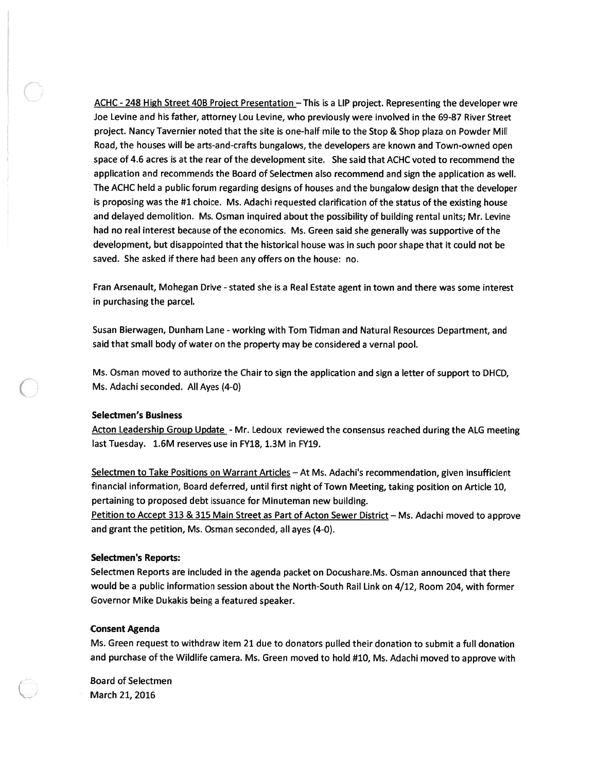ACHC - 248 High Street 40B Project Presentation - This is a LIP project. Representing the developer wre Joe Levine and his father, attorney Lou Levine, who previously were involved in the 69-87 River Street project. Nancy Tavernier noted that the site is one-half mile to the Stop & Shop plaza on Powder Mill Road, the houses will be arts-and-crafts bungalows, the developers are known and Town-owned open space of 4.6 acres is at the rear of the development site. She said that ACHC voted to recommend the application and recommends the Board of Selectmen also recommend and sign the application as well. The ACHC held <sup>a</sup> public forum regarding designs of houses and the bungalow design that the developer is proposing was the #1 choice. Ms. Adachi requested clarification of the status of the existing house and delayed demolition. Ms. Osman inquired about the possibility of building rental units; Mr. Levine had no real interest because of the economics. Ms. Green said she generally was supportive of the development, but disappointed that the historical house was in such poor shape that it could not be saved. She asked if there had been any offers on the house: no.

Fran Arsenault, Mohegan Drive - stated she is a Real Estate agent in town and there was some interest in purchasing the parcel.

Susan Bierwagen, Dunham Lane - working with Tom Tidman and Natural Resources Department, and said that small body of water on the property may be considered <sup>a</sup> vernal pool.

Ms. Osman moved to authorize the Chair to sign the application and sign <sup>a</sup> letter of suppor<sup>t</sup> to DHCD, Ms. Adachi seconded. All Ayes (4-0)

### Selectmen's Business

Acton Leadership Group Update - Mr. Ledoux reviewed the consensus reached during the ALG meeting last Tuesday. 1.6M reserves use in FY18, 1.3M in FY19.

Selectmen to Take Positions on Warrant Articles - At Ms. Adachi's recommendation, given insufficient financial information, Board deferred, until first night of Town Meeting, taking position on Article 10, pertaining to proposed debt issuance for Minuteman new building.

Petition to Accept 313 & 315 Main Street as Part of Acton Sewer District— Ms. Adachi moved to approve and gran<sup>t</sup> the petition, Ms. Osman seconded, all ayes (4-0).

### Selectmen's Reports:

Selectmen Reports are included in the agenda packet on Docushare.Ms. Osman announced that there would be <sup>a</sup> public information session about the North-South Rail Link on 4/12, Room 204, with former Governor Mike Dukakis being <sup>a</sup> featured speaker.

### Consent Agenda

Ms. Green reques<sup>t</sup> to withdraw item 21 due to donators pulled their donation to submit <sup>a</sup> full donation and purchase of the Wildlife camera. Ms. Green moved to hold #10, Ms. Adachi moved to approve with

Board of Selectmen March 21, 2016